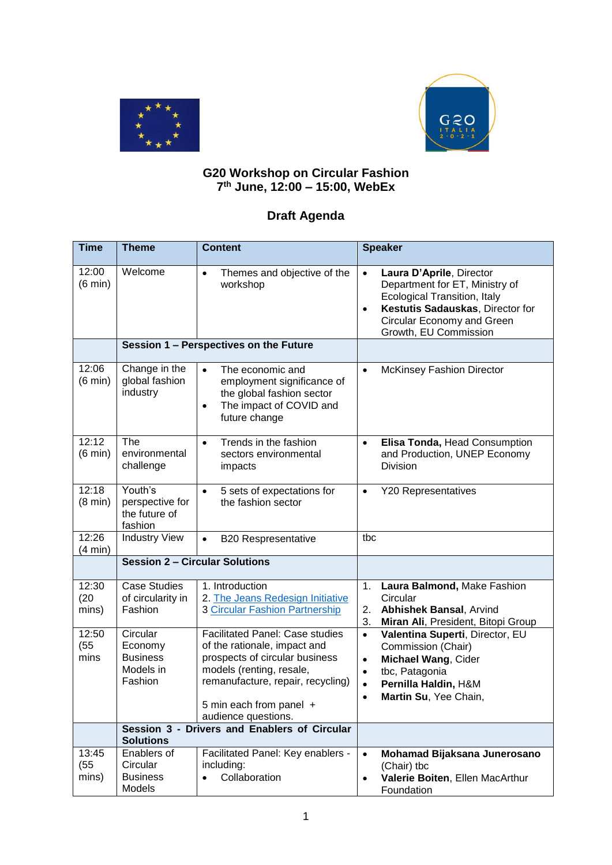



## **G20 Workshop on Circular Fashion 7 th June, 12:00 – 15:00, WebEx**

## **Draft Agenda**

| <b>Time</b>                | <b>Theme</b>                                                   | <b>Content</b>                                                                                                                                                                                                              | <b>Speaker</b>                                                                                                                                                                                                         |  |
|----------------------------|----------------------------------------------------------------|-----------------------------------------------------------------------------------------------------------------------------------------------------------------------------------------------------------------------------|------------------------------------------------------------------------------------------------------------------------------------------------------------------------------------------------------------------------|--|
| 12:00<br>$(6 \text{ min})$ | Welcome                                                        | Themes and objective of the<br>$\bullet$<br>workshop                                                                                                                                                                        | Laura D'Aprile, Director<br>$\bullet$<br>Department for ET, Ministry of<br><b>Ecological Transition, Italy</b><br>Kestutis Sadauskas, Director for<br>$\bullet$<br>Circular Economy and Green<br>Growth, EU Commission |  |
|                            |                                                                | Session 1 - Perspectives on the Future                                                                                                                                                                                      |                                                                                                                                                                                                                        |  |
| 12:06<br>$(6 \text{ min})$ | Change in the<br>global fashion<br>industry                    | The economic and<br>$\bullet$<br>employment significance of<br>the global fashion sector<br>The impact of COVID and<br>$\bullet$<br>future change                                                                           | <b>McKinsey Fashion Director</b><br>$\bullet$                                                                                                                                                                          |  |
| 12:12<br>$(6 \text{ min})$ | The<br>environmental<br>challenge                              | Trends in the fashion<br>$\bullet$<br>sectors environmental<br>impacts                                                                                                                                                      | Elisa Tonda, Head Consumption<br>$\bullet$<br>and Production, UNEP Economy<br><b>Division</b>                                                                                                                          |  |
| 12:18<br>$(8 \text{ min})$ | Youth's<br>perspective for<br>the future of<br>fashion         | 5 sets of expectations for<br>$\bullet$<br>the fashion sector                                                                                                                                                               | <b>Y20 Representatives</b><br>$\bullet$                                                                                                                                                                                |  |
| 12:26<br>(4 min)           | <b>Industry View</b>                                           | <b>B20 Respresentative</b><br>$\bullet$                                                                                                                                                                                     | tbc                                                                                                                                                                                                                    |  |
|                            | <b>Session 2 - Circular Solutions</b>                          |                                                                                                                                                                                                                             |                                                                                                                                                                                                                        |  |
| 12:30<br>(20)<br>mins)     | <b>Case Studies</b><br>of circularity in<br>Fashion            | 1. Introduction<br>2. The Jeans Redesign Initiative<br><b>3 Circular Fashion Partnership</b>                                                                                                                                | Laura Balmond, Make Fashion<br>1.<br>Circular<br><b>Abhishek Bansal, Arvind</b><br>2.<br>3.<br>Miran Ali, President, Bitopi Group                                                                                      |  |
| 12:50<br>(55)<br>mins      | Circular<br>Economy<br><b>Business</b><br>Models in<br>Fashion | <b>Facilitated Panel: Case studies</b><br>of the rationale, impact and<br>prospects of circular business<br>models (renting, resale,<br>remanufacture, repair, recycling)<br>5 min each from panel +<br>audience questions. | Valentina Superti, Director, EU<br>$\bullet$<br>Commission (Chair)<br>Michael Wang, Cider<br>$\bullet$<br>tbc, Patagonia<br>٠<br>Pernilla Haldin, H&M<br>$\bullet$<br>Martin Su, Yee Chain,<br>$\bullet$               |  |
|                            | <b>Solutions</b>                                               | Session 3 - Drivers and Enablers of Circular                                                                                                                                                                                |                                                                                                                                                                                                                        |  |
| 13:45<br>(55)<br>mins)     | Enablers of<br>Circular<br><b>Business</b><br>Models           | Facilitated Panel: Key enablers -<br>including:<br>Collaboration                                                                                                                                                            | Mohamad Bijaksana Junerosano<br>$\bullet$<br>(Chair) tbc<br>Valerie Boiten, Ellen MacArthur<br>$\bullet$<br>Foundation                                                                                                 |  |